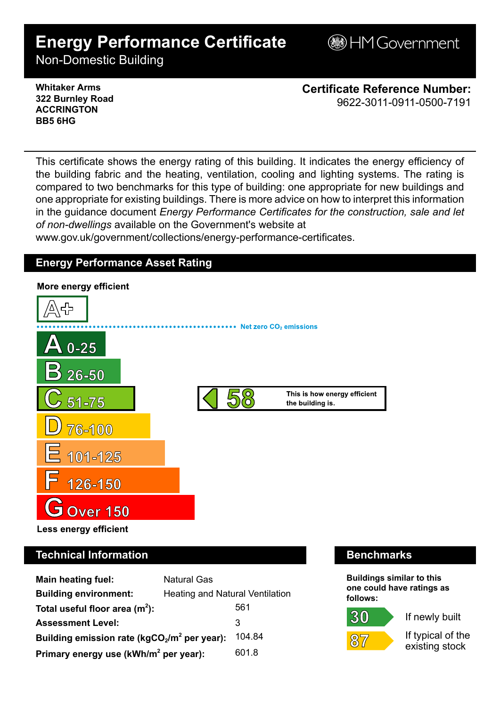# **Energy Performance Certificate**

**BHM Government** 

Non-Domestic Building

### **Whitaker Arms 322 Burnley Road ACCRINGTON BB5 6HG**

**Certificate Reference Number:** 9622-3011-0911-0500-7191

This certificate shows the energy rating of this building. It indicates the energy efficiency of the building fabric and the heating, ventilation, cooling and lighting systems. The rating is compared to two benchmarks for this type of building: one appropriate for new buildings and one appropriate for existing buildings. There is more advice on how to interpret this information in the guidance document *Energy Performance Certificates for the construction, sale and let of non-dwellings* available on the Government's website at

www.gov.uk/government/collections/energy-performance-certificates.

# **Energy Performance Asset Rating**



# **Technical Information Benchmarks**

| <b>Main heating fuel:</b>                         | <b>Natural Gas</b>                     |        |
|---------------------------------------------------|----------------------------------------|--------|
| <b>Building environment:</b>                      | <b>Heating and Natural Ventilation</b> |        |
| Total useful floor area $(m2)$ :                  |                                        | 561    |
| <b>Assessment Level:</b>                          |                                        | 3      |
| Building emission rate ( $kgCO2/m2$ per year):    |                                        | 104.84 |
| Primary energy use (kWh/m <sup>2</sup> per year): |                                        | 601.8  |

**Buildings similar to this one could have ratings as follows:**



 $87$ 



If typical of the existing stock